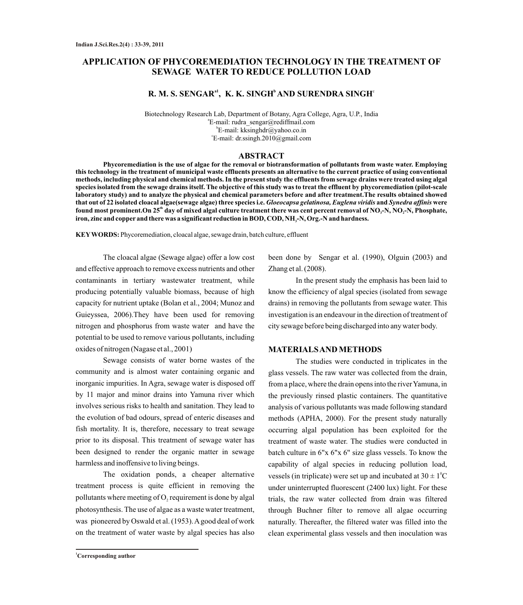# **APPLICATION OF PHYCOREMEDIATION TECHNOLOGY IN THE TREATMENT OF SEWAGE WATER TO REDUCE POLLUTION LOAD**

# **a1 <sup>b</sup>**<sup>c</sup> **R. M. S. SENGAR , K. K. SINGH AND SURENDRA SINGH**

Biotechnology Research Lab, Department of Botany, Agra College, Agra, U.P., India a E-mail: rudra\_sengar@rediffmail.com b E-mail: kksinghdr@yahoo.co.in c E-mail: dr.ssingh.2010@gmail.com

#### **ABSTRACT**

**Phycoremediation is the use of algae for the removal or biotransformation of pollutants from waste water. Employing this technology in the treatment of municipal waste effluents presents an alternative to the current practice of using conventional methods, including physical and chemical methods. In the present study the effluents from sewage drains were treated using algal species isolated from the sewage drains itself. The objective of this study was to treat the effluent by phycoremediation (pilot-scale laboratory study) and to analyze the physical and chemical parameters before and after treatment.The results obtained showed that out of 22 isolated cloacal algae(sewage algae) three species i.e.** *Gloeocapsa gelatinosa, Euglena viridis* **and** *Synedra affinis* **were th found most prominent.On 25 day of mixed algal culture treatment there was cent percent removal of NO -N, NO -N, Phosphate, <sup>3</sup> <sup>2</sup> iron, zinc and copper and there was a significant reduction in BOD, COD, NH -N, Org.-N and hardness. <sup>3</sup>**

**KEYWORDS:** Phycoremediation, cloacal algae, sewage drain, batch culture, effluent

The cloacal algae (Sewage algae) offer a low cost and effective approach to remove excess nutrients and other contaminants in tertiary wastewater treatment, while producing potentially valuable biomass, because of high capacity for nutrient uptake (Bolan et al., 2004; Munoz and Guieyssea, 2006).They have been used for removing nitrogen and phosphorus from waste water and have the potential to be used to remove various pollutants, including oxides of nitrogen (Nagase et al., 2001)

Sewage consists of water borne wastes of the community and is almost water containing organic and inorganic impurities. In Agra, sewage water is disposed off by 11 major and minor drains into Yamuna river which involves serious risks to health and sanitation. They lead to the evolution of bad odours, spread of enteric diseases and fish mortality. It is, therefore, necessary to treat sewage prior to its disposal. This treatment of sewage water has been designed to render the organic matter in sewage harmless and inoffensive to living beings.

The oxidation ponds, a cheaper alternative treatment process is quite efficient in removing the pollutants where meeting of  $O$ , requirement is done by algal photosynthesis. The use of algae as a waste water treatment, was pioneered by Oswald et al. (1953). Agood deal of work on the treatment of water waste by algal species has also

been done by Sengar et al. (1990), Olguin (2003) and Zhang et al. (2008).

In the present study the emphasis has been laid to know the efficiency of algal species (isolated from sewage drains) in removing the pollutants from sewage water. This investigation is an endeavour in the direction of treatment of city sewage before being discharged into any water body.

## **MATERIALS AND METHODS**

The studies were conducted in triplicates in the glass vessels. The raw water was collected from the drain, from a place, where the drain opens into the river Yamuna, in the previously rinsed plastic containers. The quantitative analysis of various pollutants was made following standard methods (APHA, 2000). For the present study naturally occurring algal population has been exploited for the treatment of waste water. The studies were conducted in batch culture in 6"x 6"x 6" size glass vessels. To know the capability of algal species in reducing pollution load, vessels (in triplicate) were set up and incubated at  $30 \pm 1$ <sup>o</sup>C under uninterrupted fluorescent (2400 lux) light. For these trials, the raw water collected from drain was filtered through Buchner filter to remove all algae occurring naturally. Thereafter, the filtered water was filled into the clean experimental glass vessels and then inoculation was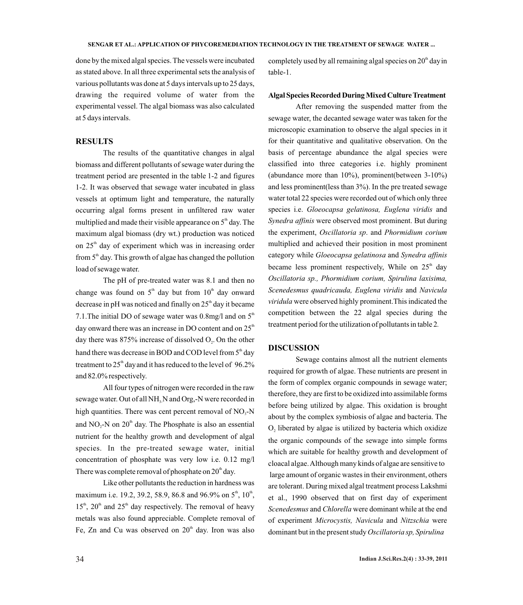done by the mixed algal species. The vessels were incubated as stated above. In all three experimental sets the analysis of various pollutants was done at 5 days intervals up to 25 days, drawing the required volume of water from the experimental vessel. The algal biomass was also calculated at 5 days intervals.

#### **RESULTS**

The results of the quantitative changes in algal biomass and different pollutants of sewage water during the treatment period are presented in the table 1-2 and figures 1-2. It was observed that sewage water incubated in glass vessels at optimum light and temperature, the naturally occurring algal forms present in unfiltered raw water multiplied and made their visible appearance on  $5<sup>th</sup>$  day. The maximum algal biomass (dry wt.) production was noticed on 25<sup>th</sup> day of experiment which was in increasing order from  $5<sup>th</sup>$  day. This growth of algae has changed the pollution load of sewage water.

The pH of pre-treated water was 8.1 and then no change was found on  $5<sup>th</sup>$  day but from  $10<sup>th</sup>$  day onward decrease in pH was noticed and finally on  $25<sup>th</sup>$  day it became 7.1. The initial DO of sewage water was 0.8mg/l and on  $5<sup>th</sup>$ day onward there was an increase in DO content and on  $25<sup>th</sup>$ day there was  $875\%$  increase of dissolved  $O<sub>2</sub>$ . On the other hand there was decrease in BOD and COD level from 5<sup>th</sup> day treatment to  $25<sup>th</sup>$  day and it has reduced to the level of 96.2% and 82.0% respectively.

All four types of nitrogen were recorded in the raw sewage water. Out of all NH<sub>3</sub>N and Org,-N were recorded in high quantities. There was cent percent removal of  $NO<sub>3</sub>-N$ and  $NO<sub>2</sub>-N$  on  $20<sup>th</sup>$  day. The Phosphate is also an essential nutrient for the healthy growth and development of algal species. In the pre-treated sewage water, initial concentration of phosphate was very low i.e. 0.12 mg/l There was complete removal of phosphate on  $20<sup>th</sup>$  day.

Like other pollutants the reduction in hardness was maximum i.e. 19.2, 39.2, 58.9, 86.8 and 96.9% on  $5^{\text{th}}$ ,  $10^{\text{th}}$ ,  $15<sup>th</sup>$ ,  $20<sup>th</sup>$  and  $25<sup>th</sup>$  day respectively. The removal of heavy metals was also found appreciable. Complete removal of Fe, Zn and Cu was observed on  $20<sup>th</sup>$  day. Iron was also

completely used by all remaining algal species on  $20<sup>th</sup>$  day in table-1.

#### **Algal Species Recorded During Mixed Culture Treatment**

After removing the suspended matter from the sewage water, the decanted sewage water was taken for the microscopic examination to observe the algal species in it for their quantitative and qualitative observation. On the basis of percentage abundance the algal species were classified into three categories i.e. highly prominent (abundance more than  $10\%$ ), prominent(between  $3-10\%$ ) and less prominent(less than 3%). In the pre treated sewage water total 22 species were recorded out of which only three species i.e. *Gloeocapsa gelatinosa, Euglena viridis* and *Synedra affinis* were observed most prominent. But during the experiment, *Oscillatoria sp*. and *Phormidium corium* multiplied and achieved their position in most prominent category while *Gloeocapsa gelatinosa* and *Synedra affinis* became less prominent respectively, While on  $25<sup>th</sup>$  day *Oscillatoria sp., Phormidium corium, Spirulina laxisima, Scenedesmus quadricauda, Euglena viridis* and *Navicula viridula* were observed highly prominent.This indicated the competition between the 22 algal species during the treatment period for the utilization of pollutantsin table 2*.*

### **DISCUSSION**

Sewage contains almost all the nutrient elements required for growth of algae. These nutrients are present in the form of complex organic compounds in sewage water; therefore, they are first to be oxidized into assimilable forms before being utilized by algae. This oxidation is brought about by the complex symbiosis of algae and bacteria. The  $O<sub>2</sub>$  liberated by algae is utilized by bacteria which oxidize the organic compounds of the sewage into simple forms which are suitable for healthy growth and development of cloacal algae. Although many kinds of algae are sensitive to large amount of organic wastes in their environment, others are tolerant. During mixed algal treatment process Lakshmi et al., 1990 observed that on first day of experiment *Scenedesmus* and *Chlorella* were dominant while at the end of experiment *Microcystis, Navicula* and *Nitzschia* were dominant but in the present study *Oscillatoria sp, Spirulina*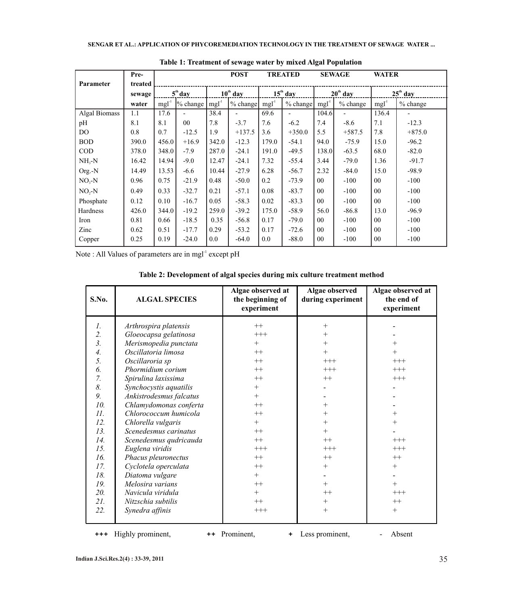|                      | Pre-    |           |                          |               | <b>POST</b> |            | <b>TREATED</b>           |                 | <b>SEWAGE</b>            | <b>WATER</b>   |                          |
|----------------------|---------|-----------|--------------------------|---------------|-------------|------------|--------------------------|-----------------|--------------------------|----------------|--------------------------|
| Parameter            | treated |           |                          |               |             |            |                          |                 |                          |                |                          |
|                      | sewage  | $5th$ day |                          | $10^{th}$ day |             | $15th$ day |                          | $20th$ day      |                          | $25th$ day     |                          |
|                      | water   | $mgl-1$   | % change                 | $mgl-1$       | % change    | $mg1^{-1}$ | % change                 | $mgl-1$         | % change                 | $mg1^{-1}$     | % change                 |
| <b>Algal Biomass</b> | 1.1     | 17.6      | $\overline{\phantom{0}}$ | 38.4          |             | 69.6       | $\overline{\phantom{0}}$ | 104.6           | $\overline{\phantom{0}}$ | 136.4          | $\overline{\phantom{0}}$ |
| pH                   | 8.1     | 8.1       | $00\,$                   | 7.8           | $-3.7$      | 7.6        | $-6.2$                   | 7.4             | $-8.6$                   | 7.1            | $-12.3$                  |
| DO.                  | 0.8     | 0.7       | $-12.5$                  | 1.9           | $+137.5$    | 3.6        | $+350.0$                 | 5.5             | $+587.5$                 | 7.8            | $+875.0$                 |
| <b>BOD</b>           | 390.0   | 456.0     | $+16.9$                  | 342.0         | $-12.3$     | 179.0      | $-54.1$                  | 94.0            | $-75.9$                  | 15.0           | $-96.2$                  |
| <b>COD</b>           | 378.0   | 348.0     | $-7.9$                   | 287.0         | $-24.1$     | 191.0      | $-49.5$                  | 138.0           | $-63.5$                  | 68.0           | $-82.0$                  |
| $NH, -N$             | 16.42   | 14.94     | $-9.0$                   | 12.47         | $-24.1$     | 7.32       | $-55.4$                  | 3.44            | $-79.0$                  | 1.36           | $-91.7$                  |
| Org.-N               | 14.49   | 13.53     | $-6.6$                   | 10.44         | $-27.9$     | 6.28       | $-56.7$                  | 2.32            | $-84.0$                  | 15.0           | $-98.9$                  |
| $NO3-N$              | 0.96    | 0.75      | $-21.9$                  | 0.48          | $-50.0$     | 0.2        | $-73.9$                  | 00 <sup>°</sup> | $-100$                   | $00\,$         | $-100$                   |
| $NO, -N$             | 0.49    | 0.33      | $-32.7$                  | 0.21          | $-57.1$     | 0.08       | $-83.7$                  | $00\,$          | $-100$                   | $00\,$         | $-100$                   |
| Phosphate            | 0.12    | 0.10      | $-16.7$                  | 0.05          | $-58.3$     | 0.02       | $-83.3$                  | $00\,$          | $-100$                   | $00\,$         | $-100$                   |
| Hardness             | 426.0   | 344.0     | $-19.2$                  | 259.0         | $-39.2$     | 175.0      | $-58.9$                  | 56.0            | $-86.8$                  | 13.0           | $-96.9$                  |
| Iron                 | 0.81    | 0.66      | $-18.5$                  | 0.35          | $-56.8$     | 0.17       | $-79.0$                  | 00 <sup>°</sup> | $-100$                   | 0 <sub>0</sub> | $-100$                   |
| Zinc                 | 0.62    | 0.51      | $-17.7$                  | 0.29          | $-53.2$     | 0.17       | $-72.6$                  | 0 <sub>0</sub>  | $-100$                   | $00\,$         | $-100$                   |
| Copper               | 0.25    | 0.19      | $-24.0$                  | 0.0           | $-64.0$     | 0.0        | $-88.0$                  | $00\,$          | $-100$                   | $00\,$         | $-100$                   |

 **Table 1: Treatment of sewage water by mixed Algal Population**

Note : All Values of parameters are in mgl<sup>-1</sup> except pH

| S.No.            | <b>ALGAL SPECIES</b>    | Algae observed at<br>the beginning of<br>experiment | Algae observed<br>during experiment | Algae observed at<br>the end of<br>experiment |
|------------------|-------------------------|-----------------------------------------------------|-------------------------------------|-----------------------------------------------|
| $\mathfrak{1}.$  | Arthrospira platensis   | $++$                                                | $^{+}$                              |                                               |
| 2.               | Gloeocapsa gelatinosa   | $+++$                                               | $^{+}$                              |                                               |
| $\overline{3}$ . | Merismopedia punctata   | $^{+}$                                              | $^{+}$                              |                                               |
| $\overline{4}$ . | Oscillatoria limosa     | $++$                                                |                                     | $^{+}$                                        |
| 5.               | Oscillaroria sp         | $++$                                                | $+++$                               | $+++$                                         |
| 6.               | Phormidium corium       | $++$                                                | $^{+++}$                            | $+++$                                         |
| 7.               | Spirulina laxissima     | $++$                                                | $++$                                | $+++$                                         |
| 8.               | Synchocystis aquatilis  | $^+$                                                |                                     |                                               |
| 9.               | Ankistrodesmus falcatus | $+$                                                 |                                     |                                               |
| 10.              | Chlamydomonas conferta  | $++$                                                | $^{+}$                              |                                               |
| 11.              | Chlorococcum humicola   | $++$                                                |                                     | $^+$                                          |
| 12.              | Chlorella vulgaris      | $^{+}$                                              |                                     | $^{+}$                                        |
| 13.              | Scenedesmus carinatus   | $++$                                                |                                     |                                               |
| 14.              | Scenedesmus qudricauda  | $++$                                                | $++$                                | $^{+++}$                                      |
| 15.              | Euglena viridis         | $+++$                                               | $+++$                               | $+++$                                         |
| 16.              | Phacus pleuronectus     | $++$                                                | $++$                                | $++$                                          |
| 17.              | Cyclotela operculata    | $++$                                                | $^{+}$                              | $+$                                           |
| 18.              | Diatoma vulgare         | $^{+}$                                              |                                     |                                               |
| 19.              | Melosira varians        | $++$                                                | $+$                                 | $^{+}$                                        |
| 20.              | Navicula viridula       | $+$                                                 | $++$                                | $^{+++}$                                      |
| 21.              | Nitzschia subtilis      | $++$                                                | $+$                                 | $++$                                          |
| 22.              | Synedra affinis         | $+++$                                               | $^{+}$                              | $+$                                           |
|                  |                         |                                                     |                                     |                                               |

**Table 2: Development of algal species during mix culture treatment method**

**+++** Highly prominent, **++** Prominent, **+** Less prominent, -Absent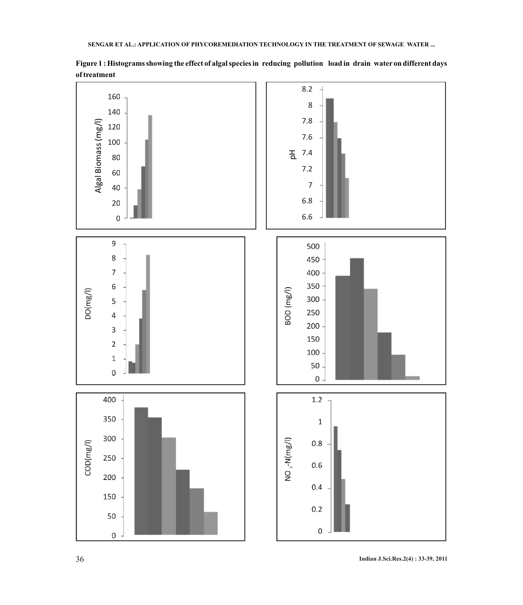

**Figure 1 : Histograms showing the effect of algal species in reducing pollution load in drain water on different days of treatment**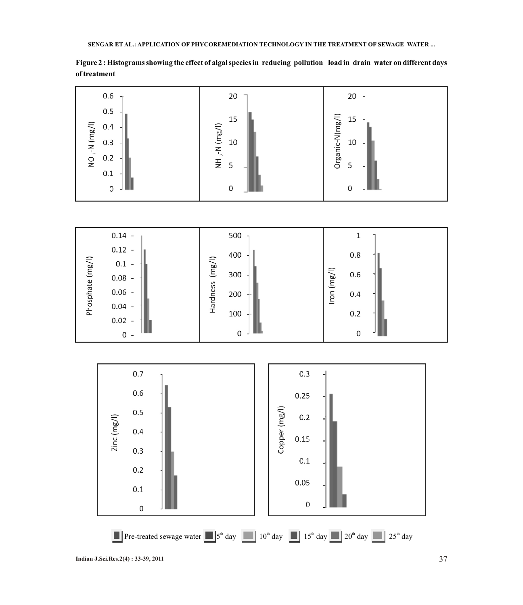

**Figure 2 : Histograms showing the effect of algal species in reducing pollution load in drain water on different days of treatment** 



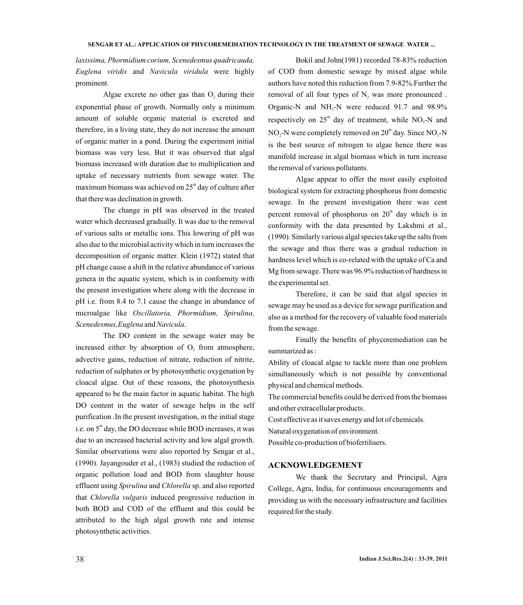*laxissima, Phormidium corium, Scenedesmus quadricauda, Euglena viridis* and *Navicula viridula* were highly prominent.

Algae excrete no other gas than  $O$ , during their exponential phase of growth. Normally only a minimum amount of soluble organic material is excreted and therefore, in a living state, they do not increase the amount of organic matter in a pond. During the experiment initial biomass was very less. But it was observed that algal biomass increased with duration due to multiplication and uptake of necessary nutrients from sewage water. The maximum biomass was achieved on  $25<sup>th</sup>$  day of culture after that there was declination in growth.

The change in pH was observed in the treated water which decreased gradually. It was due to the removal of various salts or metallic ions. This lowering of pH was also due to the microbial activity which in turn increases the decomposition of organic matter. Klein (1972) stated that pH change cause a shift in the relative abundance of various genera in the aquatic system, which is in conformity with the present investigation where along with the decrease in pH i.e. from 8.4 to 7.1 cause the change in abundance of microalgae like *Oscillatoria, Phormidium, Spirulina, Scenedesmus,Euglena* and *Navicula*.

The DO content in the sewage water may be increased either by absorption of  $O<sub>2</sub>$  from atmosphere, advective gains, reduction of nitrate, reduction of nitrite, reduction of sulphates or by photosynthetic oxygenation by cloacal algae. Out of these reasons, the photosynthesis appeared to be the main factor in aquatic habitat. The high DO content in the water of sewage helps in the self purification .In the present investigation, in the initial stage i.e. on  $5<sup>th</sup>$  day, the DO decrease while BOD increases, it was due to an increased bacterial activity and low algal growth. Similar observations were also reported by Sengar et al., (1990). Jayangouder et al., (1983) studied the reduction of organic pollution load and BOD from slaughter house effluent using *Spirulina* and *Chlorella* sp. and also reported that *Chlorella vulgaris* induced progressive reduction in both BOD and COD of the effluent and this could be attributed to the high algal growth rate and intense photosynthetic activities.

Bokil and John(1981) recorded 78-83% reduction of COD from domestic sewage by mixed algae while authors have noted this reduction from 7.9-82%.Further the removal of all four types of  $N$ , was more pronounced. Organic-N and  $NH<sub>3</sub>-N$  were reduced 91.7 and 98.9% respectively on  $25<sup>th</sup>$  day of treatment, while NO<sub>2</sub>-N and NO<sub>2</sub>-N were completely removed on  $20<sup>th</sup>$  day. Since NO<sub>3</sub>-N is the best source of nitrogen to algae hence there was manifold increase in algal biomass which in turn increase the removal of various pollutants.

Algae appear to offer the most easily exploited biological system for extracting phosphorus from domestic sewage. In the present investigation there was cent percent removal of phosphorus on  $20<sup>th</sup>$  day which is in conformity with the data presented by Lakshmi et al., (1990). Similarly various algal species take up the salts from the sewage and thus there was a gradual reduction in hardness level which is co-related with the uptake of Ca and Mg from sewage. There was 96.9% reduction of hardness in the experimental set.

Therefore, it can be said that algal species in sewage may be used as a device for sewage purification and also as a method for the recovery of valuable food materials from the sewage.

Finally the benefits of phycoremediation can be summarized as :

Ability of cloacal algae to tackle more than one problem simultaneously which is not possible by conventional physical and chemical methods.

The commercial benefits could be derived from the biomass and other extracellular products.

Cost effective as it saves energy and lot of chemicals.

Natural oxygenation of environment.

Possible co-production of biofertilisers.

### **ACKNOWLEDGEMENT**

We thank the Secretary and Principal, Agra College, Agra, India, for continuous encouragements and providing us with the necessary infrastructure and facilities required for the study.